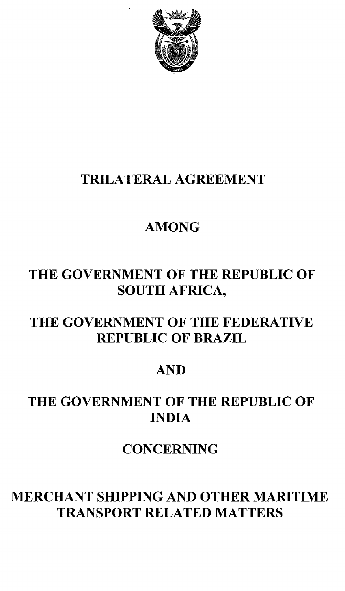

# TRILATERAL AGREEMENT

## AMONG

## THE GOVERNMENT OF THE REPUBLIC OF SOUTH AFRICA,

### THE GOVERNMENT OF THE FEDERATIVE REPUBLIC OF BRAZIL

### AND

# THE GOVERNMENT OF THE REPUBLIC OF INDIA

**CONCERNING** 

## MERCHANT SHIPPING AND OTHER MARITIME TRANSPORT RELATED MATTERS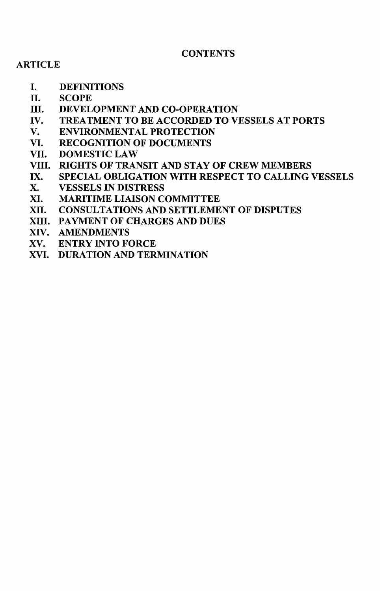#### **CONTENTS**

#### **ARTICLE**

- I. DEFINITIONS
- II. SCOPE
- III. DEVELOPMENT AND CO-OPERATION
- IV. TREATMENT TO BE ACCORDED TO VESSELS AT PORTS<br>V. ENVIRONMENTAL PROTECTION
- **ENVIRONMENTAL PROTECTION**
- VI. RECOGNITION OF DOCUMENTS
- VII. DOMESTIC LAW
- VIII. RIGHTS OF TRANSIT AND STAY OF CREW MEMBERS
- IX. SPECIAL OBLIGATION WITH RESPECT TO CALLING VESSELS
- X. VESSELS IN DISTRESS
- XI. MARITIME LIAISON COMMITTEE
- XII. CONSULTATIONS AND SETTLEMENT OF DISPUTES
- XIII. PAYMENT OF CHARGES AND DUES
- XIV. AMENDMENTS
- XV. ENTRY INTO FORCE
- XVI. DURATION AND TERMINATION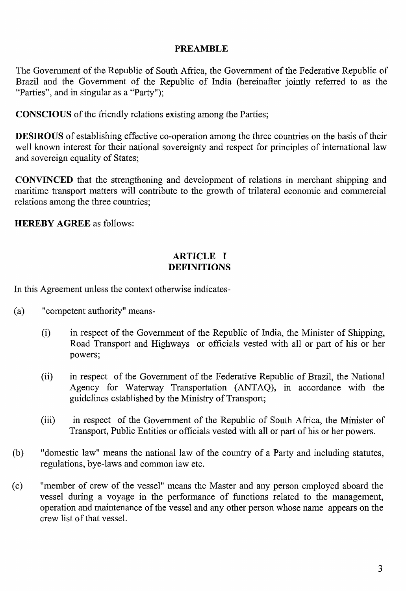#### **PREAMBLE**

The Government of the Republic of South Africa, the Government of the Federative Republic of Brazil and the Government of the Republic of India (hereinafter jointly referred to as the "Parties", and in singular as a "Party");

**CONSCIOUS** of the friendly relations existing among the Parties;

**DESIROUS** of establishing effective co-operation among the three countries on the basis of their well known interest for their national sovereignty and respect for principles of international law and sovereign equality of States;

**CONVINCED** that the strengthening and development of relations in merchant shipping and maritime transport matters will contribute to the growth of trilateral economic and commercial relations among the three countries;

**HEREBY AGREE** as follows:

#### **ARTICLE I DEFINITIONS**

In this Agreement unless the context otherwise indicates-

- (a) "competent authority" means-
	- (i) in respect of the Government of the Republic of India, the Minister of Shipping, Road Transport and Highways or officials vested with all or part of his or her powers;
	- (ii) in respect of the Government of the Federative Republic of Brazil, the National Agency for Waterway Transportation (ANTAQ), in accordance with the guidelines established by the Ministry of Transport;
	- (iii) in respect of the Government of the Republic of South Africa, the Minister of Transport, Public Entities or officials vested with all or part of his or her powers.
- (b) "domestic law" means the national law of the country of a Party and including statutes, regulations, bye-laws and common law etc.
- (c) "member of crew of the vessel" means the Master and any person employed aboard the vessel during a voyage in the performance of functions related to the management, operation and maintenance of the vessel and any other person whose name appears on the crew list of that vessel.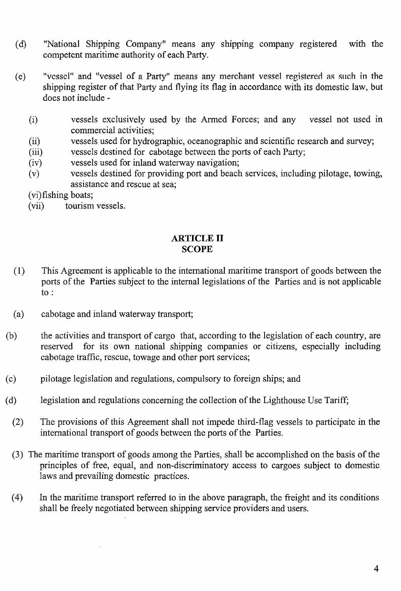- (d) "National Shipping Company" means any shipping company registered with the competent maritime authority of each Party.
- (e) "vessel" and "vessel of a Party" means any merchant vessel registered as such in the shipping register of that Party and flying its flag in accordance with its domestic law, but does not include -
	- (i) vessels exclusively used by the Armed Forces; and any vessel not used in commercial activities;
	- (ii) vessels used for hydrographic, oceanographic and scientific research and survey;
	- (iii) vessels destined for cabotage between the ports of each Party;
	- (iv) vessels used for inland waterway navigation;
	- (v) vessels destined for providing port and beach services, including pilotage, towing, assistance and rescue at sea;

(vi)fishing boats;<br>(vii) tourism

tourism vessels.

#### ARTICLE II **SCOPE**

- (1) This Agreement is applicable to the international maritime transport of goods between the ports of the Parties subject to the internal legislations of the Parties and is not applicable to:
- (a) cabotage and inland waterway transport;
- (b) the activities and transport of cargo that, according to the legislation of each country, are reserved for its own national shipping companies or citizens, especially including cabotage traffic, rescue, towage and other port services;
- (c) pilotage legislation and regulations, compulsory to foreign ships; and
- (d) legislation and regulations concerning the collection of the Lighthouse Use Tariff;
	- (2) The provisions of this Agreement shall not impede third-flag vessels to participate in the international transport of goods between the ports of the Parties.
	- (3) The maritime transport of goods among the Parties, shall be accomplished on the basis of the principles of free, equal, and non-discriminatory access to cargoes subject to domestic laws and prevailing domestic practices.
	- (4) In the maritime transport referred to in the above paragraph, the freight and its conditions shall be freely negotiated between shipping service providers and users.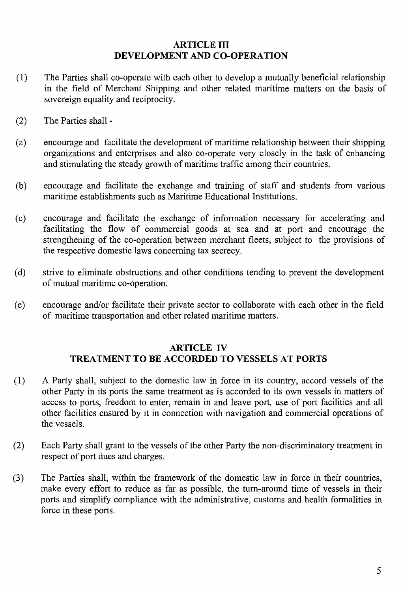#### ARTICLE III DEVELOPMENT AND CO-OPERATION

- $(1)$  The Parties shall co-operate with each other to develop a mutually beneficial relationship in the field of Merchant Shipping and other related maritime matters on the basis of sovereign equality and reciprocity.
- (2) The Parties shall-
- (a) encourage and facilitate the development of maritime relationship between their shipping organizations and enterprises and also co-operate very closely in the task of enhancing and stimulating the steady growth of maritime traffic among their countries.
- (b) encourage and facilitate the exchange and training of staff and students from various maritime establishments such as Maritime Educational Institutions.
- (c) encourage and facilitate the exchange of information necessary for accelerating and facilitating the flow of commercial goods at sea and at port and encourage the strengthening of the co-operation between merchant fleets, subject to the provisions of the respective domestic laws concerning tax secrecy.
- (d) strive to eliminate obstructions and other conditions tending to prevent the development of mutual maritime co-operation.
- (e) encourage and/or facilitate their private sector to collaborate with each other in the field of maritime transportation and other related maritime matters.

#### ARTICLE IV TREATNIENT TO BE ACCORDED TO VESSELS AT PORTS

- (1) A Party shall, subject to the domestic law in force in its country, accord vessels of the other Party in its ports the same treatment as is accorded to its own vessels in matters of access to ports, freedom to enter, remain in and leave port, use of port facilities and all other facilities ensured by it in connection with navigation and commercial operations of the vessels.
- (2) Each Party shall grant to the vessels of the other Party the non-discriminatory treatment in respect of port dues and charges.
- (3) The Parties shall, within the framework of the domestic law in force in their countries, make every effort to reduce as far as possible, the tum-around time of vessels in their ports and simplify compliance with the administrative, customs and health formalities in force in these ports.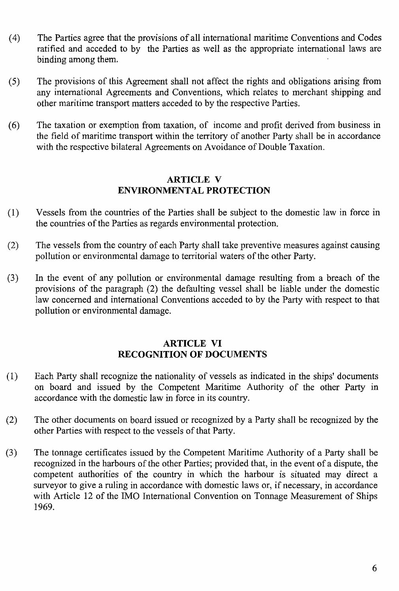- (4) The Parties agree that the provisions of all international maritime Conventions and Codes ratified and acceded to by the Parties as well as the appropriate international laws are binding among them.
- (5) The provisions of this Agreement shall not affect the rights and obligations arising from any international Agreements and Conventions, which relates to merchant shipping and other maritime transport matters acceded to by the respective Parties.
- (6) The taxation or exemption from taxation, of income and profit derived from business in the field of maritime transport within the territory of another Party shall be in accordance with the respective bilateral Agreements on Avoidance of Double Taxation.

#### **ARTICLE V ENVIRONMENTAL PROTECTION**

- (1) Vessels from the countries of the Parties shall be subject to the domestic law in force in the countries of the Parties as regards environmental protection.
- (2) The vessels from the country of each Party shall take preventive measures against causing pollution or environmental damage to territorial waters of the other Party.
- (3) In the event of any pollution or environmental damage resulting from a breach of the provisions of the paragraph (2) the defaulting vessel shall be liable under the domestic law concerned and international Conventions acceded to by the Party with respect to that pollution or environmental damage.

#### **ARTICLE VI RECOGNITION OF DOCUMENTS**

- (1) Each Party shall recognize the nationality of vessels as indicated in the ships' documents on board and issued by the Competent Maritime Authority of the other Party in accordance with the domestic law in force in its country.
- (2) The other documents on board issued or recognized by a Party shall be recognized by the other Parties with respect to the vessels of that Party.
- (3) The tonnage certificates issued by the Competent Maritime Authority of a Party shall be recognized in the harbours of the other Parties; provided that, in the event of a dispute, the competent authorities of the country in which the harbour is situated may direct a surveyor to give a ruling in accordance with domestic laws or, if necessary, in accordance with Article 12 of the IMO International Convention on Tonnage Measurement of Ships 1969.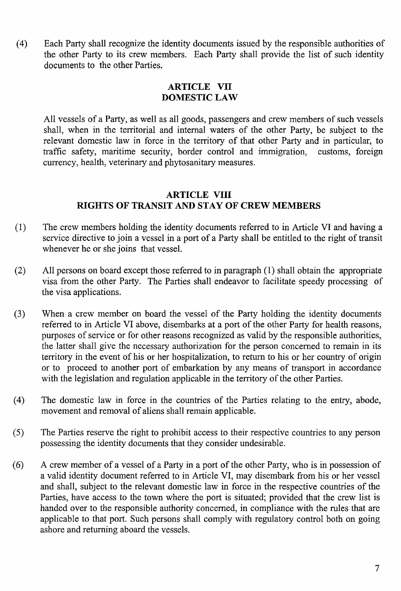(4) Each Party shall recognize the identity documents issued by the responsible authorities of the other Party to its crew mernbers. Each Party shall provide the list of such identity documents to the other Parties.

#### ARTICLE VII DOMESTIC LAW

All vessels of a Party, as well as all goods, passengers and crew members of such vessels shall, when in the territorial and internal waters of the other Party, be subject to the relevant domestic law in force in the territory of that other Party and in particular, to traffic safety, maritime security, border control and immigration, customs, foreign traffic safety, maritime security, border control and immigration, currency, health, veterinary and phytosanitary measures.

#### ARTICLE VIII RIGHTS OF TRANSIT AND STAY OF CREW MEMBERS

- (1) The crew members holding the identity documents referred to in Article VI and having a service directive to join a vessel in a port of a Party shall be entitled to the right of transit whenever he or she joins that vessel.
- (2) All persons on board except those referred to in paragraph (1) shall obtain the appropriate visa from the other Party. The Parties shall endeavor to facilitate speedy processing of the visa applications.
- (3) When a crew member on board the vessel of the Party holding the identity documents referred to in Article VI above, disembarks at a port of the other Party for health reasons, purposes of service or for other reasons recognized as valid by the responsible authorities, the latter shall give the necessary authorization for the person concerned to remain in its territory in the event of his or her hospitalization, to return to his or her country of origin or to proceed to another port of embarkation by any means of transport in accordance with the legislation and regulation applicable in the territory of the other Parties.
- (4) The domestic law in force in the countries of the Parties relating to the entry, abode, movement and removal of aliens shall remain applicable.
- (5) The Parties reserve the right to prohibit access to their respective countries to any person possessing the identity documents that they consider undesirable.
- $(6)$  A crew member of a vessel of a Party in a port of the other Party, who is in possession of a valid identity document referred to in Article VI, may disembark from his or her vessel and shall, subject to the relevant domestic law in force in the respective countries of the Parties, have access to the town where the port is situated; provided that the crew list is handed over to the responsible authority concerned, in compliance with the rules that are applicable to that port. Such persons shall comply with regulatory control both on going ashore and returning aboard the vessels.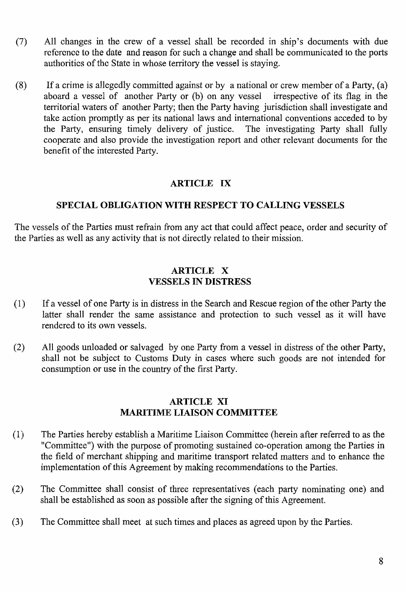- (7) All changes in the crew of a vessel shall be recorded in ship's documents with due reference to the date and reason for such a change and shall be communicated to the ports authorities of the State in whose territory the vessel is staying.
- (8) If a crime is allegedly committed against or by a national or crew member of a Party, (a) aboard a vessel of another Party or (b) on any vessel irrespective of its flag in the aboard a vessel of another Party or  $(b)$  on any vessel territorial waters of another Party; then the Party having jurisdiction shall investigate and take action promptly as per its national laws and international conventions acceded to by the Party, ensuring timely delivery of justice. The investigating Party shall fully the Party, ensuring timely delivery of justice. cooperate and also provide the investigation report and other relevant documents for the benefit of the interested Party.

### ARTICLE IX

#### SPECIAL OBLIGATION WITH RESPECT TO CALLING VESSELS

The vessels of the Parties must refrain from any act that could affect peace, order and security of the Parties as well as any activity that is not directly related to their mission.

#### ARTICLE X VESSELS IN DISTRESS

- (1) If a vessel of one Party is in distress in the Search and Rescue region of the other Party the latter shall render the same assistance and protection to such vessel as it will have rendered to its own vessels.
- (2) All goods unloaded or salvaged by one Party from a vessel in distress of the other Party, shall not be subject to Customs Duty in cases where such goods are not intended for consumption or use in the country of the first Party.

#### ARTICLE XI MARITIME LIAISON COMMITTEE

- (1) The Parties hereby establish a Maritime Liaison Committee (herein after referred to as the "Committee") with the purpose of promoting sustained co-operation among the Parties in the field of merchant shipping and maritime transport related matters and to enhance the implementation of this Agreement by making recommendations to the Parties.
- (2) The Committee shall consist of three representatives (each party nominating one) and shall be established as soon as possible after the signing of this Agreement.
- (3) The Committee shall meet at such times and places as agreed upon by the Parties.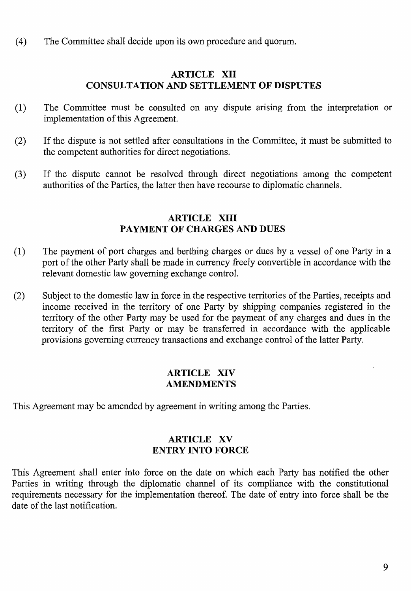(4) The Committee shall decide upon its own procedure and quorum.

#### ARTICLE XII CONSULTATION AND SETTLEMENT OF DTSPIJTES

- (1) The Committee must be consulted on any dispute arising from the interpretation or implementation of this Agreement.
- (2) If the dispute is not settled after consultations in the Committee, it must be submitted to the competent authorities for direct negotiations.
- (3) If the dispute cannot be resolved through direct negotiations among the competent authorities of the Parties, the latter then have recourse to diplomatic channels.

#### ARTICLE XIII PAYMENT OF CHARGES AND DUES

- (1) The payment of port charges and berthing charges or dues by a vessel of one Party in a port of the other Party shall be made in currency freely convertible in accordance with the relevant domestic law governing exchange control.
- (2) Subject to the domestic law in force in the respective territories of the Parties, receipts and income received in the territory of one Party by shipping companies registered in the territory of the other Party may be used for the payment of any charges and dues in the territory of the first Party or may be transferred in accordance with the applicable provisions governing currency transactions and exchange control of the latter Party.

#### ARTICLE XIV AMENDMENTS

This Agreement may be amended by agreement in writing among the Parties.

#### ARTICLE XV ENTRY INTO FORCE

This Agreement shall enter into force on the date on which each Party has notified the other Parties in writing through the diplomatic channel of its compliance with the constitutional requirements necessary for the implementation thereof. The date of entry into force shall be the date of the last notification.